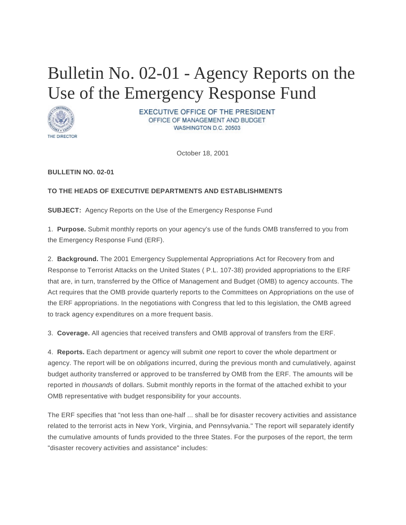## Bulletin No. 02-01 - Agency Reports on the Use of the Emergency Response Fund



**EXECUTIVE OFFICE OF THE PRESIDENT** OFFICE OF MANAGEMENT AND BUDGET WASHINGTON D.C. 20503

October 18, 2001

## **BULLETIN NO. 02-01**

## **TO THE HEADS OF EXECUTIVE DEPARTMENTS AND ESTABLISHMENTS**

**SUBJECT:** Agency Reports on the Use of the Emergency Response Fund

1. **Purpose.** Submit monthly reports on your agency's use of the funds OMB transferred to you from the Emergency Response Fund (ERF).

2. **Background.** The 2001 Emergency Supplemental Appropriations Act for Recovery from and Response to Terrorist Attacks on the United States ( P.L. 107-38) provided appropriations to the ERF that are, in turn, transferred by the Office of Management and Budget (OMB) to agency accounts. The Act requires that the OMB provide quarterly reports to the Committees on Appropriations on the use of the ERF appropriations. In the negotiations with Congress that led to this legislation, the OMB agreed to track agency expenditures on a more frequent basis.

3. **Coverage.** All agencies that received transfers and OMB approval of transfers from the ERF.

4. **Reports.** Each department or agency will submit *one* report to cover the whole department or agency. The report will be on *obligations* incurred, during the previous month and cumulatively, against budget authority transferred or approved to be transferred by OMB from the ERF. The amounts will be reported in *thousands* of dollars. Submit monthly reports in the format of the attached exhibit to your OMB representative with budget responsibility for your accounts.

The ERF specifies that "not less than one-half ... shall be for disaster recovery activities and assistance related to the terrorist acts in New York, Virginia, and Pennsylvania." The report will separately identify the cumulative amounts of funds provided to the three States. For the purposes of the report, the term "disaster recovery activities and assistance" includes: